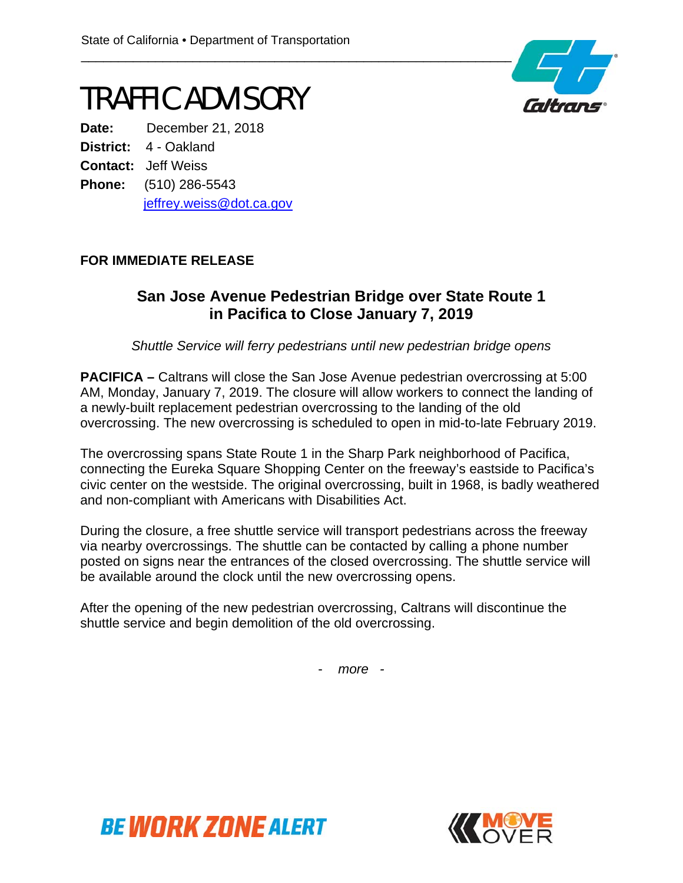### TRAFFIC ADVISORY

**Date:** December 21, 2018 **District:** 4 - Oakland **Contact:** Jeff Weiss **Phone:** (510) 286-5543 jeffrey.weiss@dot.ca.gov

#### **FOR IMMEDIATE RELEASE**

#### **San Jose Avenue Pedestrian Bridge over State Route 1 in Pacifica to Close January 7, 2019**

*Shuttle Service will ferry pedestrians until new pedestrian bridge opens*

**PACIFICA** – Caltrans will close the San Jose Avenue pedestrian overcrossing at 5:00 AM, Monday, January 7, 2019. The closure will allow workers to connect the landing of a newly-built replacement pedestrian overcrossing to the landing of the old overcrossing. The new overcrossing is scheduled to open in mid-to-late February 2019.

The overcrossing spans State Route 1 in the Sharp Park neighborhood of Pacifica, connecting the Eureka Square Shopping Center on the freeway's eastside to Pacifica's civic center on the westside. The original overcrossing, built in 1968, is badly weathered and non-compliant with Americans with Disabilities Act.

During the closure, a free shuttle service will transport pedestrians across the freeway via nearby overcrossings. The shuttle can be contacted by calling a phone number posted on signs near the entrances of the closed overcrossing. The shuttle service will be available around the clock until the new overcrossing opens.

After the opening of the new pedestrian overcrossing, Caltrans will discontinue the shuttle service and begin demolition of the old overcrossing.

- *more -*